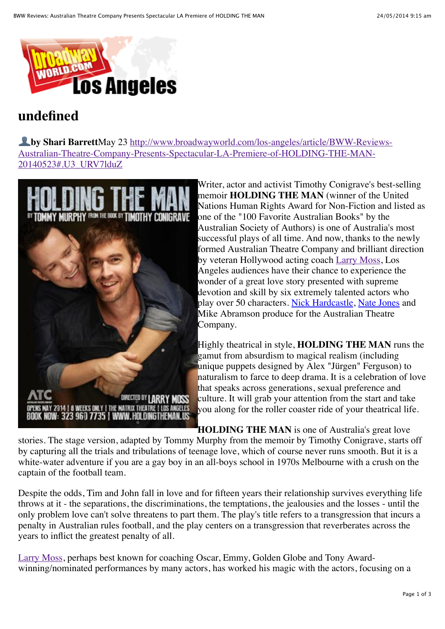

## **undefined**

! **by Shari Barrett**May 23 http://www.broadwayworld.com/los-angeles/article/BWW-Reviews-[Australian-Theatre-Company-Presents-Spectacular-LA-Premiere-of-HOLDING-THE-MAN-](http://www.broadwayworld.com/los-angeles/article/BWW-Reviews-Australian-Theatre-Company-Presents-Spectacular-LA-Premiere-of-HOLDING-THE-MAN-20140523#.U3_URV7lduZ)20140523#.U3\_URV7lduZ



Writer, actor and activist Timothy Conigrave's best-selling memoir **HOLDING THE MAN** (winner of the United Nations Human Rights Award for Non-Fiction and listed as one of the "100 Favorite Australian Books" by the Australian Society of Authors) is one of Australia's most successful plays of all time. And now, thanks to the newly formed Australian Theatre Company and brilliant direction by veteran Hollywood acting coach [Larry Moss,](http://www.broadwayworld.com/people/Larry-Moss/) Los Angeles audiences have their chance to experience the wonder of a great love story presented with supreme devotion and skill by six extremely talented actors who play over 50 characters. [Nick Hardcastle,](http://www.broadwayworld.com/people/Nick-Hardcastle/) [Nate Jones](http://www.broadwayworld.com/people/Nate-Jones/) and Mike Abramson produce for the Australian Theatre Company.

Highly theatrical in style, **HOLDING THE MAN** runs the gamut from absurdism to magical realism (including unique puppets designed by Alex "Jürgen" Ferguson) to naturalism to farce to deep drama. It is a celebration of love that speaks across generations, sexual preference and culture. It will grab your attention from the start and take you along for the roller coaster ride of your theatrical life.

**HOLDING THE MAN** is one of Australia's great love stories. The stage version, adapted by Tommy Murphy from the memoir by Timothy Conigrave, starts off by capturing all the trials and tribulations of teenage love, which of course never runs smooth. But it is a white-water adventure if you are a gay boy in an all-boys school in 1970s Melbourne with a crush on the captain of the football team.

Despite the odds, Tim and John fall in love and for fifteen years their relationship survives everything life throws at it - the separations, the discriminations, the temptations, the jealousies and the losses - until the only problem love can't solve threatens to part them. The play's title refers to a transgression that incurs a penalty in Australian rules football, and the play centers on a transgression that reverberates across the years to inflict the greatest penalty of all.

[Larry Moss,](http://www.broadwayworld.com/people/Larry-Moss/) perhaps best known for coaching Oscar, Emmy, Golden Globe and Tony Awardwinning/nominated performances by many actors, has worked his magic with the actors, focusing on a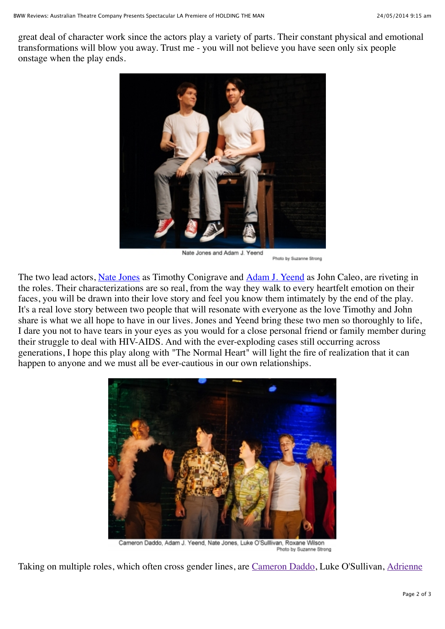great deal of character work since the actors play a variety of parts. Their constant physical and emotional transformations will blow you away. Trust me - you will not believe you have seen only six people onstage when the play ends.



Nate Jones and Adam J. Yeend Photo by Suzanne Strong

The two lead actors, [Nate Jones](http://www.broadwayworld.com/people/Nate-Jones/) as Timothy Conigrave and [Adam J. Yeend](http://www.broadwayworld.com/people/Adam-J.-Yeend/) as John Caleo, are riveting in the roles. Their characterizations are so real, from the way they walk to every heartfelt emotion on their faces, you will be drawn into their love story and feel you know them intimately by the end of the play. It's a real love story between two people that will resonate with everyone as the love Timothy and John share is what we all hope to have in our lives. Jones and Yeend bring these two men so thoroughly to life, I dare you not to have tears in your eyes as you would for a close personal friend or family member during their struggle to deal with HIV-AIDS. And with the ever-exploding cases still occurring across generations, I hope this play along with "The Normal Heart" will light the fire of realization that it can happen to anyone and we must all be ever-cautious in our own relationships.



Cameron Daddo, Adam J. Yeend, Nate Jones, Luke O'Sulllivan, Roxane Wilson Photo by Suzanne Strong

[Taking on multiple roles, which often cross gender lines, are](http://www.broadwayworld.com/people/Adrienne-Smith/) [Cameron Daddo](http://www.broadwayworld.com/people/Cameron-Daddo/)[, Luke O'Sullivan, Adrienne](http://www.broadwayworld.com/people/Adrienne-Smith/)